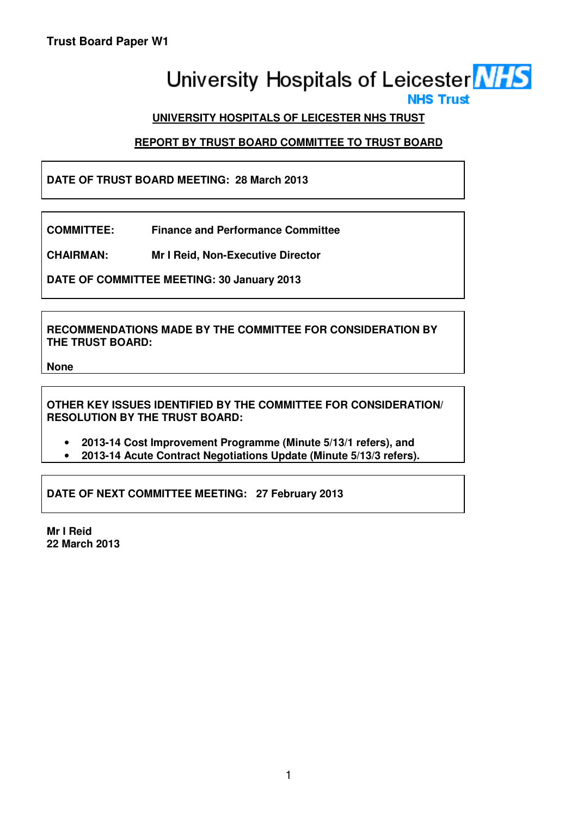# University Hospitals of Leicester **NHS**

# **UNIVERSITY HOSPITALS OF LEICESTER NHS TRUST**

# **REPORT BY TRUST BOARD COMMITTEE TO TRUST BOARD**

# **DATE OF TRUST BOARD MEETING: 28 March 2013**

**COMMITTEE: Finance and Performance Committee** 

**CHAIRMAN: Mr I Reid, Non-Executive Director** 

**DATE OF COMMITTEE MEETING: 30 January 2013** 

**RECOMMENDATIONS MADE BY THE COMMITTEE FOR CONSIDERATION BY THE TRUST BOARD:** 

**None** 

**OTHER KEY ISSUES IDENTIFIED BY THE COMMITTEE FOR CONSIDERATION/ RESOLUTION BY THE TRUST BOARD:** 

- **2013-14 Cost Improvement Programme (Minute 5/13/1 refers), and**
- **2013-14 Acute Contract Negotiations Update (Minute 5/13/3 refers).**

**DATE OF NEXT COMMITTEE MEETING: 27 February 2013** 

**Mr I Reid 22 March 2013**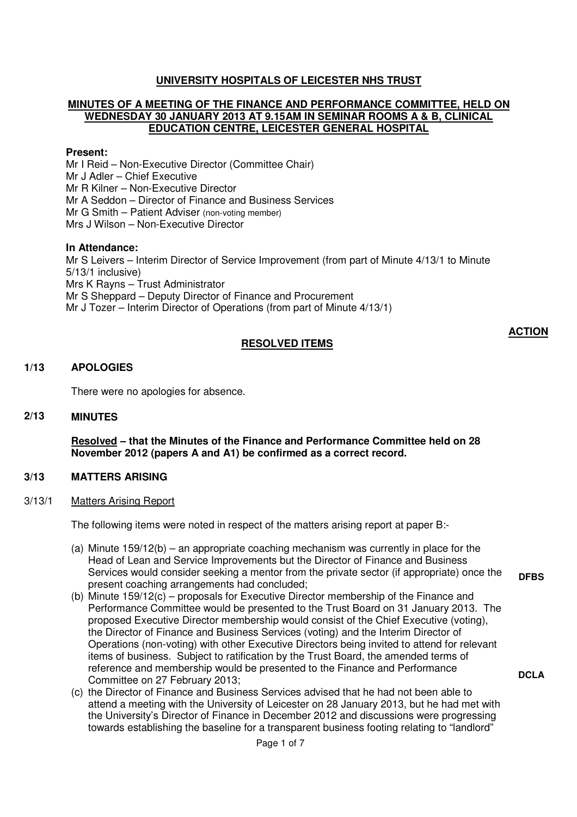# **UNIVERSITY HOSPITALS OF LEICESTER NHS TRUST**

#### **MINUTES OF A MEETING OF THE FINANCE AND PERFORMANCE COMMITTEE, HELD ON WEDNESDAY 30 JANUARY 2013 AT 9.15AM IN SEMINAR ROOMS A & B, CLINICAL EDUCATION CENTRE, LEICESTER GENERAL HOSPITAL**

#### **Present:**

Mr I Reid – Non-Executive Director (Committee Chair) Mr J Adler – Chief Executive Mr R Kilner – Non-Executive Director Mr A Seddon – Director of Finance and Business Services Mr G Smith – Patient Adviser (non-voting member) Mrs J Wilson – Non-Executive Director

#### **In Attendance:**

Mr S Leivers – Interim Director of Service Improvement (from part of Minute 4/13/1 to Minute 5/13/1 inclusive) Mrs K Rayns – Trust Administrator Mr S Sheppard – Deputy Director of Finance and Procurement Mr J Tozer – Interim Director of Operations (from part of Minute 4/13/1)

# **RESOLVED ITEMS**

## **1/13 APOLOGIES**

There were no apologies for absence.

#### **2/13 MINUTES**

**Resolved – that the Minutes of the Finance and Performance Committee held on 28 November 2012 (papers A and A1) be confirmed as a correct record.** 

#### **3/13 MATTERS ARISING**

3/13/1 Matters Arising Report

The following items were noted in respect of the matters arising report at paper B:-

- (a) Minute 159/12(b) an appropriate coaching mechanism was currently in place for the Head of Lean and Service Improvements but the Director of Finance and Business Services would consider seeking a mentor from the private sector (if appropriate) once the present coaching arrangements had concluded;
- (b) Minute 159/12(c) proposals for Executive Director membership of the Finance and Performance Committee would be presented to the Trust Board on 31 January 2013. The proposed Executive Director membership would consist of the Chief Executive (voting), the Director of Finance and Business Services (voting) and the Interim Director of Operations (non-voting) with other Executive Directors being invited to attend for relevant items of business. Subject to ratification by the Trust Board, the amended terms of reference and membership would be presented to the Finance and Performance Committee on 27 February 2013;
- (c) the Director of Finance and Business Services advised that he had not been able to attend a meeting with the University of Leicester on 28 January 2013, but he had met with the University's Director of Finance in December 2012 and discussions were progressing towards establishing the baseline for a transparent business footing relating to "landlord"

**DFBS** 

**DCLA** 

**ACTION**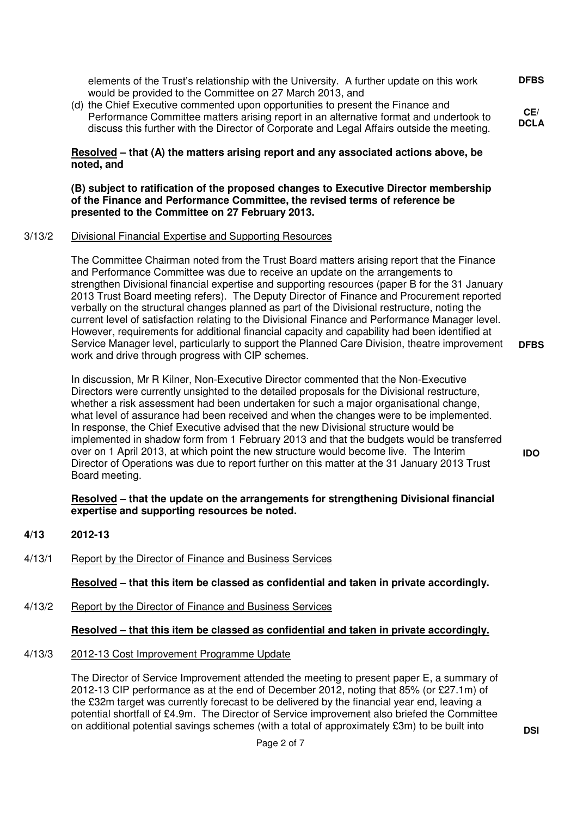elements of the Trust's relationship with the University. A further update on this work would be provided to the Committee on 27 March 2013, and

(d) the Chief Executive commented upon opportunities to present the Finance and Performance Committee matters arising report in an alternative format and undertook to discuss this further with the Director of Corporate and Legal Affairs outside the meeting.

#### **Resolved – that (A) the matters arising report and any associated actions above, be noted, and**

#### **(B) subject to ratification of the proposed changes to Executive Director membership of the Finance and Performance Committee, the revised terms of reference be presented to the Committee on 27 February 2013.**

#### 3/13/2 Divisional Financial Expertise and Supporting Resources

The Committee Chairman noted from the Trust Board matters arising report that the Finance and Performance Committee was due to receive an update on the arrangements to strengthen Divisional financial expertise and supporting resources (paper B for the 31 January 2013 Trust Board meeting refers). The Deputy Director of Finance and Procurement reported verbally on the structural changes planned as part of the Divisional restructure, noting the current level of satisfaction relating to the Divisional Finance and Performance Manager level. However, requirements for additional financial capacity and capability had been identified at Service Manager level, particularly to support the Planned Care Division, theatre improvement work and drive through progress with CIP schemes.

In discussion, Mr R Kilner, Non-Executive Director commented that the Non-Executive Directors were currently unsighted to the detailed proposals for the Divisional restructure, whether a risk assessment had been undertaken for such a major organisational change, what level of assurance had been received and when the changes were to be implemented. In response, the Chief Executive advised that the new Divisional structure would be implemented in shadow form from 1 February 2013 and that the budgets would be transferred over on 1 April 2013, at which point the new structure would become live. The Interim Director of Operations was due to report further on this matter at the 31 January 2013 Trust Board meeting.

#### **Resolved – that the update on the arrangements for strengthening Divisional financial expertise and supporting resources be noted.**

- **4/13 2012-13**
- 4/13/1 Report by the Director of Finance and Business Services

**Resolved – that this item be classed as confidential and taken in private accordingly.** 

4/13/2 Report by the Director of Finance and Business Services

# **Resolved – that this item be classed as confidential and taken in private accordingly.**

# 4/13/3 2012-13 Cost Improvement Programme Update

The Director of Service Improvement attended the meeting to present paper E, a summary of 2012-13 CIP performance as at the end of December 2012, noting that 85% (or £27.1m) of the £32m target was currently forecast to be delivered by the financial year end, leaving a potential shortfall of £4.9m. The Director of Service improvement also briefed the Committee on additional potential savings schemes (with a total of approximately £3m) to be built into **DSI** 

**DFBS** 

**CE/ DCLA** 

**DFBS** 

**IDO**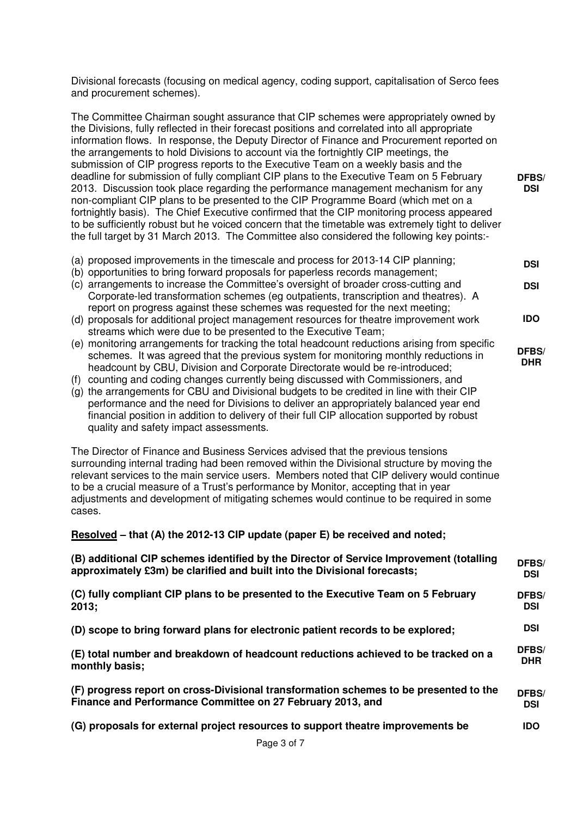Divisional forecasts (focusing on medical agency, coding support, capitalisation of Serco fees and procurement schemes).

The Committee Chairman sought assurance that CIP schemes were appropriately owned by the Divisions, fully reflected in their forecast positions and correlated into all appropriate information flows. In response, the Deputy Director of Finance and Procurement reported on the arrangements to hold Divisions to account via the fortnightly CIP meetings, the submission of CIP progress reports to the Executive Team on a weekly basis and the deadline for submission of fully compliant CIP plans to the Executive Team on 5 February 2013. Discussion took place regarding the performance management mechanism for any non-compliant CIP plans to be presented to the CIP Programme Board (which met on a fortnightly basis). The Chief Executive confirmed that the CIP monitoring process appeared to be sufficiently robust but he voiced concern that the timetable was extremely tight to deliver the full target by 31 March 2013. The Committee also considered the following key points:-

**DFBS/ DSI** 

**DSI** 

**DSI** 

**IDO** 

**DFBS/ DHR** 

- (a) proposed improvements in the timescale and process for 2013-14 CIP planning;
- (b) opportunities to bring forward proposals for paperless records management;
- (c) arrangements to increase the Committee's oversight of broader cross-cutting and Corporate-led transformation schemes (eg outpatients, transcription and theatres). A report on progress against these schemes was requested for the next meeting;
- (d) proposals for additional project management resources for theatre improvement work streams which were due to be presented to the Executive Team;
- (e) monitoring arrangements for tracking the total headcount reductions arising from specific schemes. It was agreed that the previous system for monitoring monthly reductions in headcount by CBU, Division and Corporate Directorate would be re-introduced;
- (f) counting and coding changes currently being discussed with Commissioners, and
- (g) the arrangements for CBU and Divisional budgets to be credited in line with their CIP performance and the need for Divisions to deliver an appropriately balanced year end financial position in addition to delivery of their full CIP allocation supported by robust quality and safety impact assessments.

The Director of Finance and Business Services advised that the previous tensions surrounding internal trading had been removed within the Divisional structure by moving the relevant services to the main service users. Members noted that CIP delivery would continue to be a crucial measure of a Trust's performance by Monitor, accepting that in year adjustments and development of mitigating schemes would continue to be required in some cases.

**Resolved – that (A) the 2012-13 CIP update (paper E) be received and noted;** 

| (B) additional CIP schemes identified by the Director of Service Improvement (totalling | DFBS/      |
|-----------------------------------------------------------------------------------------|------------|
| approximately £3m) be clarified and built into the Divisional forecasts;                | <b>DSI</b> |
| (C) fully compliant CIP plans to be presented to the Executive Team on 5 February       | DFBS/      |
| 2013:                                                                                   | <b>DSI</b> |
| (D) scope to bring forward plans for electronic patient records to be explored;         | <b>DSI</b> |
| (E) total number and breakdown of headcount reductions achieved to be tracked on a      | DFBS/      |
| monthly basis;                                                                          | <b>DHR</b> |
| (F) progress report on cross-Divisional transformation schemes to be presented to the   | DFBS/      |
| Finance and Performance Committee on 27 February 2013, and                              | <b>DSI</b> |
| (G) proposals for external project resources to support theatre improvements be         | <b>IDO</b> |
|                                                                                         |            |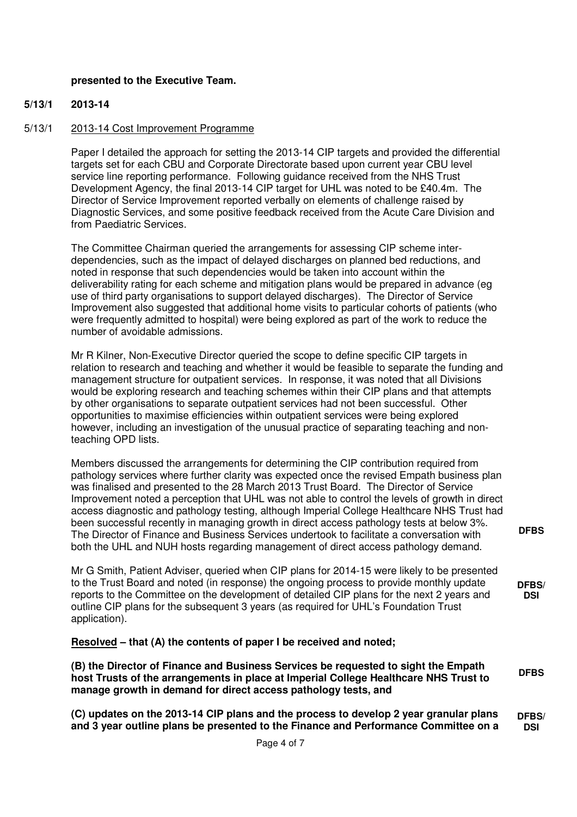## **presented to the Executive Team.**

#### **5/13/1 2013-14**

#### 5/13/1 2013-14 Cost Improvement Programme

Paper I detailed the approach for setting the 2013-14 CIP targets and provided the differential targets set for each CBU and Corporate Directorate based upon current year CBU level service line reporting performance. Following guidance received from the NHS Trust Development Agency, the final 2013-14 CIP target for UHL was noted to be £40.4m. The Director of Service Improvement reported verbally on elements of challenge raised by Diagnostic Services, and some positive feedback received from the Acute Care Division and from Paediatric Services.

The Committee Chairman queried the arrangements for assessing CIP scheme interdependencies, such as the impact of delayed discharges on planned bed reductions, and noted in response that such dependencies would be taken into account within the deliverability rating for each scheme and mitigation plans would be prepared in advance (eg use of third party organisations to support delayed discharges). The Director of Service Improvement also suggested that additional home visits to particular cohorts of patients (who were frequently admitted to hospital) were being explored as part of the work to reduce the number of avoidable admissions.

Mr R Kilner, Non-Executive Director queried the scope to define specific CIP targets in relation to research and teaching and whether it would be feasible to separate the funding and management structure for outpatient services. In response, it was noted that all Divisions would be exploring research and teaching schemes within their CIP plans and that attempts by other organisations to separate outpatient services had not been successful. Other opportunities to maximise efficiencies within outpatient services were being explored however, including an investigation of the unusual practice of separating teaching and nonteaching OPD lists.

Members discussed the arrangements for determining the CIP contribution required from pathology services where further clarity was expected once the revised Empath business plan was finalised and presented to the 28 March 2013 Trust Board. The Director of Service Improvement noted a perception that UHL was not able to control the levels of growth in direct access diagnostic and pathology testing, although Imperial College Healthcare NHS Trust had been successful recently in managing growth in direct access pathology tests at below 3%. The Director of Finance and Business Services undertook to facilitate a conversation with both the UHL and NUH hosts regarding management of direct access pathology demand.

Mr G Smith, Patient Adviser, queried when CIP plans for 2014-15 were likely to be presented to the Trust Board and noted (in response) the ongoing process to provide monthly update reports to the Committee on the development of detailed CIP plans for the next 2 years and outline CIP plans for the subsequent 3 years (as required for UHL's Foundation Trust application).

**Resolved – that (A) the contents of paper I be received and noted;** 

**(B) the Director of Finance and Business Services be requested to sight the Empath host Trusts of the arrangements in place at Imperial College Healthcare NHS Trust to manage growth in demand for direct access pathology tests, and DFBS** 

**(C) updates on the 2013-14 CIP plans and the process to develop 2 year granular plans and 3 year outline plans be presented to the Finance and Performance Committee on a DFBS/ DSI** 

**DFBS** 

**DFBS/ DSI**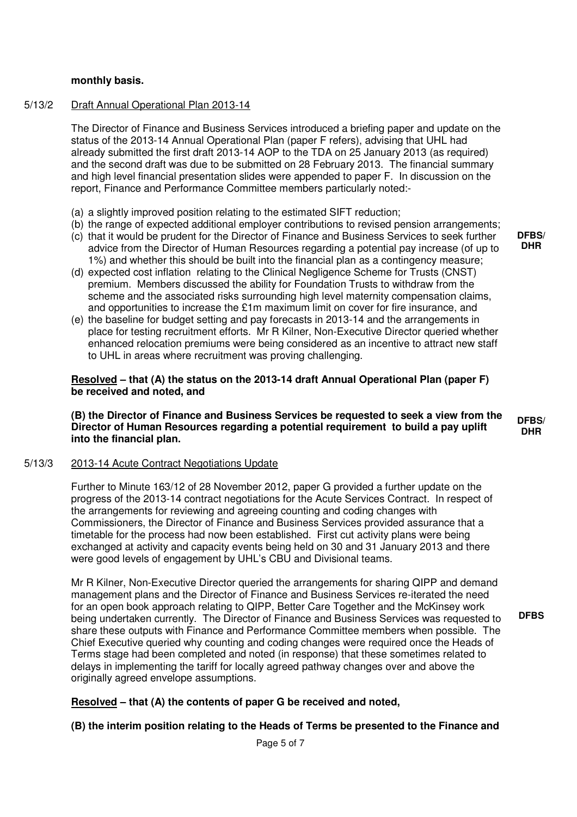#### **monthly basis.**

#### 5/13/2 Draft Annual Operational Plan 2013-14

The Director of Finance and Business Services introduced a briefing paper and update on the status of the 2013-14 Annual Operational Plan (paper F refers), advising that UHL had already submitted the first draft 2013-14 AOP to the TDA on 25 January 2013 (as required) and the second draft was due to be submitted on 28 February 2013. The financial summary and high level financial presentation slides were appended to paper F. In discussion on the report, Finance and Performance Committee members particularly noted:-

- (a) a slightly improved position relating to the estimated SIFT reduction;
- (b) the range of expected additional employer contributions to revised pension arrangements;
- (c) that it would be prudent for the Director of Finance and Business Services to seek further advice from the Director of Human Resources regarding a potential pay increase (of up to 1%) and whether this should be built into the financial plan as a contingency measure;
- (d) expected cost inflation relating to the Clinical Negligence Scheme for Trusts (CNST) premium. Members discussed the ability for Foundation Trusts to withdraw from the scheme and the associated risks surrounding high level maternity compensation claims, and opportunities to increase the £1m maximum limit on cover for fire insurance, and
- (e) the baseline for budget setting and pay forecasts in 2013-14 and the arrangements in place for testing recruitment efforts. Mr R Kilner, Non-Executive Director queried whether enhanced relocation premiums were being considered as an incentive to attract new staff to UHL in areas where recruitment was proving challenging.

**Resolved – that (A) the status on the 2013-14 draft Annual Operational Plan (paper F) be received and noted, and** 

**(B) the Director of Finance and Business Services be requested to seek a view from the Director of Human Resources regarding a potential requirement to build a pay uplift into the financial plan.** 

#### 5/13/3 2013-14 Acute Contract Negotiations Update

Further to Minute 163/12 of 28 November 2012, paper G provided a further update on the progress of the 2013-14 contract negotiations for the Acute Services Contract. In respect of the arrangements for reviewing and agreeing counting and coding changes with Commissioners, the Director of Finance and Business Services provided assurance that a timetable for the process had now been established. First cut activity plans were being exchanged at activity and capacity events being held on 30 and 31 January 2013 and there were good levels of engagement by UHL's CBU and Divisional teams.

Mr R Kilner, Non-Executive Director queried the arrangements for sharing QIPP and demand management plans and the Director of Finance and Business Services re-iterated the need for an open book approach relating to QIPP, Better Care Together and the McKinsey work being undertaken currently. The Director of Finance and Business Services was requested to share these outputs with Finance and Performance Committee members when possible. The Chief Executive queried why counting and coding changes were required once the Heads of Terms stage had been completed and noted (in response) that these sometimes related to delays in implementing the tariff for locally agreed pathway changes over and above the originally agreed envelope assumptions.

## **Resolved – that (A) the contents of paper G be received and noted,**

## **(B) the interim position relating to the Heads of Terms be presented to the Finance and**

Page 5 of 7

**DFBS/ DHR** 

**DFBS/ DHR** 

**DFBS**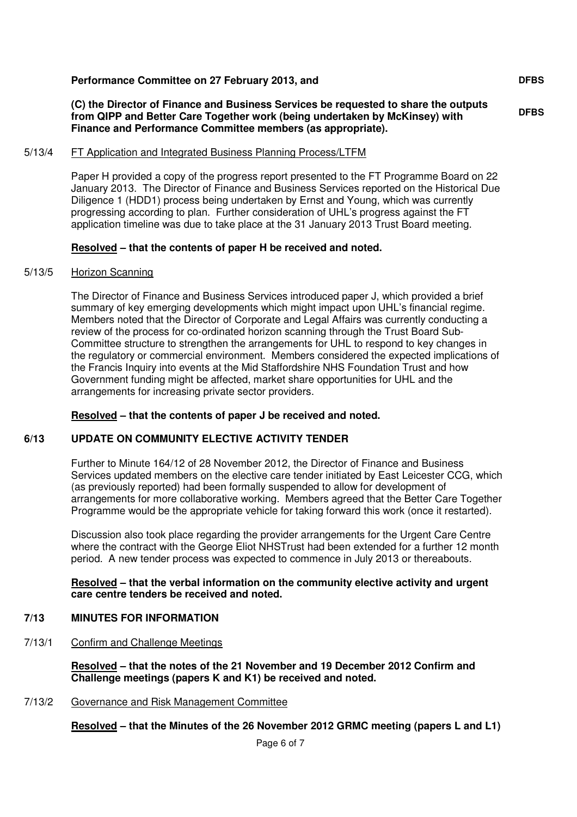#### **Performance Committee on 27 February 2013, and**

**(C) the Director of Finance and Business Services be requested to share the outputs from QIPP and Better Care Together work (being undertaken by McKinsey) with Finance and Performance Committee members (as appropriate).** 

5/13/4 FT Application and Integrated Business Planning Process/LTFM

Paper H provided a copy of the progress report presented to the FT Programme Board on 22 January 2013. The Director of Finance and Business Services reported on the Historical Due Diligence 1 (HDD1) process being undertaken by Ernst and Young, which was currently progressing according to plan. Further consideration of UHL's progress against the FT application timeline was due to take place at the 31 January 2013 Trust Board meeting.

#### **Resolved – that the contents of paper H be received and noted.**

#### 5/13/5 Horizon Scanning

The Director of Finance and Business Services introduced paper J, which provided a brief summary of key emerging developments which might impact upon UHL's financial regime. Members noted that the Director of Corporate and Legal Affairs was currently conducting a review of the process for co-ordinated horizon scanning through the Trust Board Sub-Committee structure to strengthen the arrangements for UHL to respond to key changes in the regulatory or commercial environment. Members considered the expected implications of the Francis Inquiry into events at the Mid Staffordshire NHS Foundation Trust and how Government funding might be affected, market share opportunities for UHL and the arrangements for increasing private sector providers.

#### **Resolved – that the contents of paper J be received and noted.**

#### **6/13 UPDATE ON COMMUNITY ELECTIVE ACTIVITY TENDER**

Further to Minute 164/12 of 28 November 2012, the Director of Finance and Business Services updated members on the elective care tender initiated by East Leicester CCG, which (as previously reported) had been formally suspended to allow for development of arrangements for more collaborative working. Members agreed that the Better Care Together Programme would be the appropriate vehicle for taking forward this work (once it restarted).

Discussion also took place regarding the provider arrangements for the Urgent Care Centre where the contract with the George Eliot NHSTrust had been extended for a further 12 month period. A new tender process was expected to commence in July 2013 or thereabouts.

**Resolved – that the verbal information on the community elective activity and urgent care centre tenders be received and noted.** 

#### **7/13 MINUTES FOR INFORMATION**

7/13/1 Confirm and Challenge Meetings

**Resolved – that the notes of the 21 November and 19 December 2012 Confirm and Challenge meetings (papers K and K1) be received and noted.** 

7/13/2 Governance and Risk Management Committee

**Resolved – that the Minutes of the 26 November 2012 GRMC meeting (papers L and L1)** 

**DFBS**